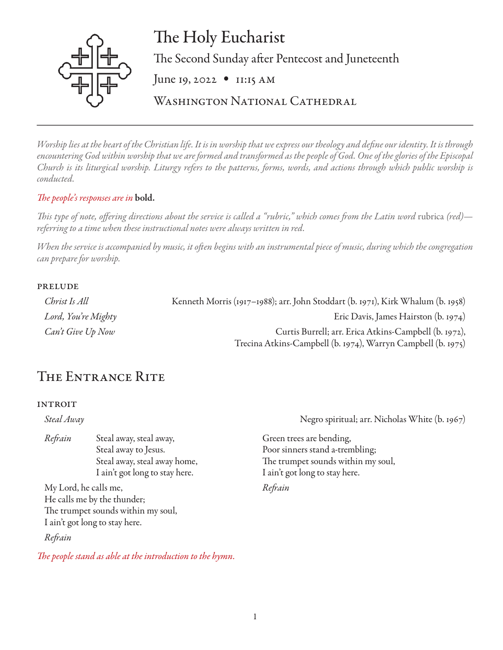# The Holy Eucharist



The Second Sunday after Pentecost and Juneteenth

June 19, 2022 • 11:15 AM

WASHINGTON NATIONAL CATHEDRAL

*Worship lies at the heart of the Christian life. It is in worship that we express our theology and define our identity. It is through encountering God within worship that we are formed and transformed as the people of God. One of the glories of the Episcopal Church is its liturgical worship. Liturgy refers to the patterns, forms, words, and actions through which public worship is conducted.* 

# *The people's responses are in* bold.

*This type of note, offering directions about the service is called a "rubric," which comes from the Latin word rubrica (red) referring to a time when these instructional notes were always written in red.*

*When the service is accompanied by music, it often begins with an instrumental piece of music, during which the congregation can prepare for worship.*

## prelude

| Christ Is All       | Kenneth Morris (1917–1988); arr. John Stoddart (b. 1971), Kirk Whalum (b. 1958) |
|---------------------|---------------------------------------------------------------------------------|
| Lord, You're Mighty | Eric Davis, James Hairston $(b. 1974)$                                          |
| Can't Give Up Now   | Curtis Burrell; arr. Erica Atkins-Campbell (b. 1972),                           |
|                     | Trecina Atkins-Campbell (b. 1974), Warryn Campbell (b. 1975)                    |

# The Entrance Rite

## **INTROIT**

*Refrain* Steal away, steal away, Steal away to Jesus. Steal away, steal away home, I ain't got long to stay here.

My Lord, he calls me, He calls me by the thunder; The trumpet sounds within my soul, I ain't got long to stay here.

*Refrain*

*The people stand as able at the introduction to the hymn.*

*Steal Away* Negro spiritual; arr. Nicholas White (b. 1967)

Green trees are bending, Poor sinners stand a-trembling; The trumpet sounds within my soul, I ain't got long to stay here.

*Refrain*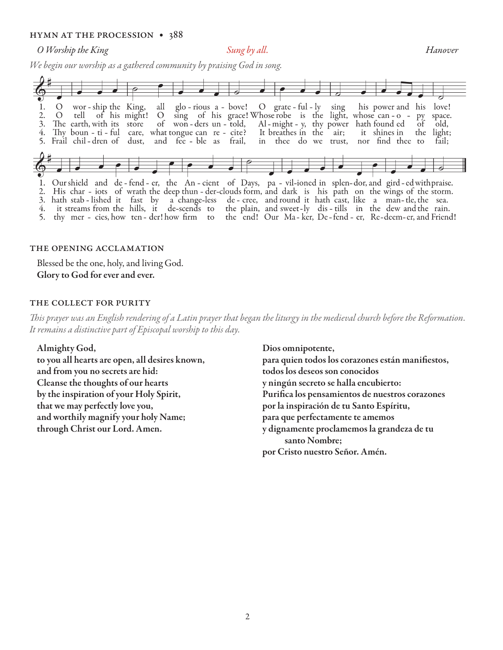#### hymn at the procession • 388

*O Worship the King Sung by all. Hanover*

*We begin our worship as a gathered community by praising God in song.*



#### the opening acclamation

Blessed be the one, holy, and living God. Glory to God for ever and ever.

#### THE COLLECT FOR PURITY

*This prayer was an English rendering of a Latin prayer that began the liturgy in the medieval church before the Reformation. It remains a distinctive part of Episcopal worship to this day.*

#### Almighty God,

to you all hearts are open, all desires known, and from you no secrets are hid: Cleanse the thoughts of our hearts by the inspiration of your Holy Spirit, that we may perfectly love you, and worthily magnify your holy Name; through Christ our Lord. Amen.

#### Dios omnipotente,

para quien todos los corazones están manifiestos, todos los deseos son conocidos y ningún secreto se halla encubierto: Purifica los pensamientos de nuestros corazones por la inspiración de tu Santo Espíritu, para que perfectamente te amemos y dignamente proclamemos la grandeza de tu santo Nombre; por Cristo nuestro Señor. Amén.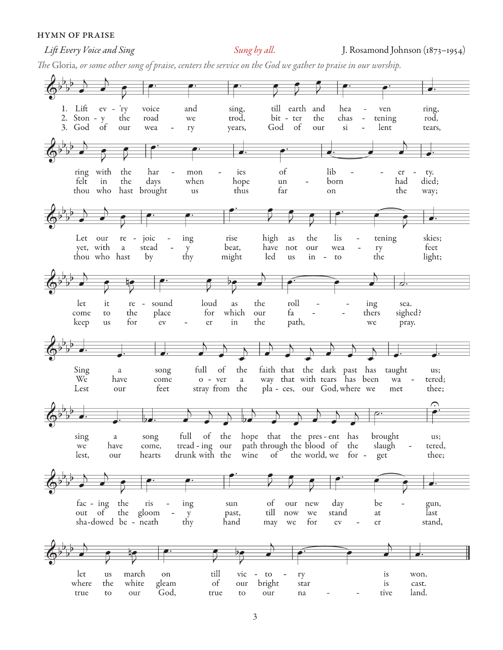#### hymn of praise

*Lift Every Voice and Sing Sung by all.* J. Rosamond Johnson (1873–1954) *The* Gloria*, or some other song of praise, centers the service on the God we gather to praise in our worship.*

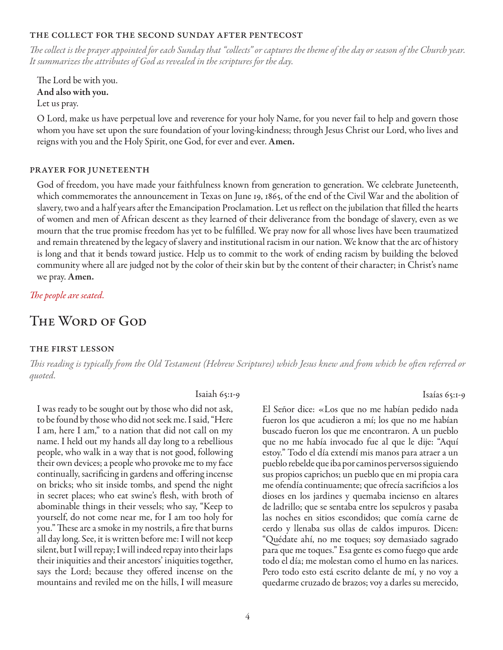#### the collect for the second sunday after pentecost

*The collect is the prayer appointed for each Sunday that "collects" or captures the theme of the day or season of the Church year. It summarizes the attributes of God as revealed in the scriptures for the day.*

The Lord be with you. And also with you. Let us pray.

O Lord, make us have perpetual love and reverence for your holy Name, for you never fail to help and govern those whom you have set upon the sure foundation of your loving-kindness; through Jesus Christ our Lord, who lives and reigns with you and the Holy Spirit, one God, for ever and ever. Amen.

#### prayer for juneteenth

God of freedom, you have made your faithfulness known from generation to generation. We celebrate Juneteenth, which commemorates the announcement in Texas on June 19, 1865, of the end of the Civil War and the abolition of slavery, two and a half years after the Emancipation Proclamation. Let us reflect on the jubilation that filled the hearts of women and men of African descent as they learned of their deliverance from the bondage of slavery, even as we mourn that the true promise freedom has yet to be fulfilled. We pray now for all whose lives have been traumatized and remain threatened by the legacy of slavery and institutional racism in our nation. We know that the arc of history is long and that it bends toward justice. Help us to commit to the work of ending racism by building the beloved community where all are judged not by the color of their skin but by the content of their character; in Christ's name we pray. Amen.

*The people are seated.* 

# The Word of God

#### the first lesson

*This reading is typically from the Old Testament (Hebrew Scriptures) which Jesus knew and from which he often referred or quoted.*

#### Isaiah 65:1-9

I was ready to be sought out by those who did not ask, to be found by those who did not seek me. I said, "Here I am, here I am," to a nation that did not call on my name. I held out my hands all day long to a rebellious people, who walk in a way that is not good, following their own devices; a people who provoke me to my face continually, sacrificing in gardens and offering incense on bricks; who sit inside tombs, and spend the night in secret places; who eat swine's flesh, with broth of abominable things in their vessels; who say, "Keep to yourself, do not come near me, for I am too holy for you." These are a smoke in my nostrils, a fire that burns all day long. See, it is written before me: I will not keep silent, but I will repay; I will indeed repay into their laps their iniquities and their ancestors' iniquities together, says the Lord; because they offered incense on the mountains and reviled me on the hills, I will measure Isaías  $65:1-9$ 

El Señor dice: «Los que no me habían pedido nada fueron los que acudieron a mí; los que no me habían buscado fueron los que me encontraron. A un pueblo que no me había invocado fue al que le dije: "Aquí estoy." Todo el día extendí mis manos para atraer a un pueblo rebelde que iba por caminos perversos siguiendo sus propios caprichos; un pueblo que en mi propia cara me ofendía continuamente; que ofrecía sacrificios a los dioses en los jardines y quemaba incienso en altares de ladrillo; que se sentaba entre los sepulcros y pasaba las noches en sitios escondidos; que comía carne de cerdo y llenaba sus ollas de caldos impuros. Dicen: "Quédate ahí, no me toques; soy demasiado sagrado para que me toques." Esa gente es como fuego que arde todo el día; me molestan como el humo en las narices. Pero todo esto está escrito delante de mí, y no voy a quedarme cruzado de brazos; voy a darles su merecido,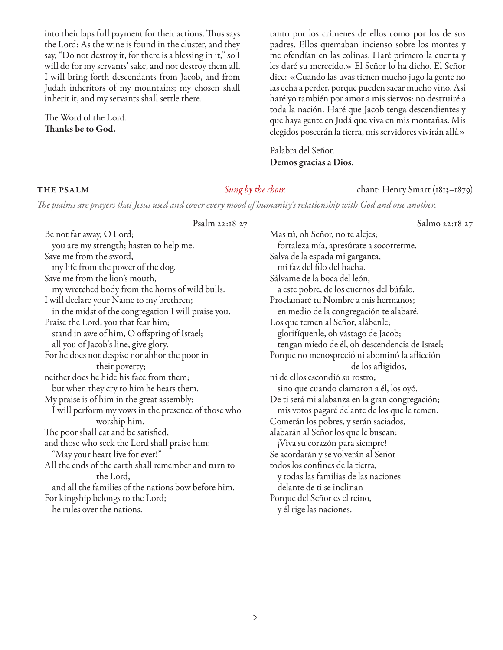into their laps full payment for their actions. Thus says the Lord: As the wine is found in the cluster, and they say, "Do not destroy it, for there is a blessing in it," so I will do for my servants' sake, and not destroy them all. I will bring forth descendants from Jacob, and from Judah inheritors of my mountains; my chosen shall inherit it, and my servants shall settle there.

The Word of the Lord. Thanks be to God.

tanto por los crímenes de ellos como por los de sus padres. Ellos quemaban incienso sobre los montes y me ofendían en las colinas. Haré primero la cuenta y les daré su merecido.» El Señor lo ha dicho. El Señor dice: «Cuando las uvas tienen mucho jugo la gente no las echa a perder, porque pueden sacar mucho vino. Así haré yo también por amor a mis siervos: no destruiré a toda la nación. Haré que Jacob tenga descendientes y que haya gente en Judá que viva en mis montañas. Mis elegidos poseerán la tierra, mis servidores vivirán allí.»

Palabra del Señor. Demos gracias a Dios.

#### the psalm *Sung by the choir.* chant: Henry Smart (1813–1879)

Salmo 22:18-27

*The psalms are prayers that Jesus used and cover every mood of humanity's relationship with God and one another.*

Psalm 22:18-27 Be not far away, O Lord; you are my strength; hasten to help me. Save me from the sword, my life from the power of the dog. Save me from the lion's mouth, my wretched body from the horns of wild bulls. I will declare your Name to my brethren; in the midst of the congregation I will praise you. Praise the Lord, you that fear him; stand in awe of him, O offspring of Israel; all you of Jacob's line, give glory. For he does not despise nor abhor the poor in their poverty; neither does he hide his face from them; but when they cry to him he hears them. My praise is of him in the great assembly; I will perform my vows in the presence of those who worship him. The poor shall eat and be satisfied, and those who seek the Lord shall praise him: "May your heart live for ever!" All the ends of the earth shall remember and turn to the Lord, and all the families of the nations bow before him. For kingship belongs to the Lord; he rules over the nations.

Mas tú, oh Señor, no te alejes; fortaleza mía, apresúrate a socorrerme. Salva de la espada mi garganta, mi faz del filo del hacha. Sálvame de la boca del león, a este pobre, de los cuernos del búfalo. Proclamaré tu Nombre a mis hermanos; en medio de la congregación te alabaré. Los que temen al Señor, alábenle; glorifíquenle, oh vástago de Jacob; tengan miedo de él, oh descendencia de Israel; Porque no menospreció ni abominó la aflicción de los afligidos, ni de ellos escondió su rostro; sino que cuando clamaron a él, los oyó. De ti será mi alabanza en la gran congregación; mis votos pagaré delante de los que le temen. Comerán los pobres, y serán saciados, alabarán al Señor los que le buscan: ¡Viva su corazón para siempre! Se acordarán y se volverán al Señor todos los confines de la tierra, y todas las familias de las naciones delante de ti se inclinan Porque del Señor es el reino, y él rige las naciones.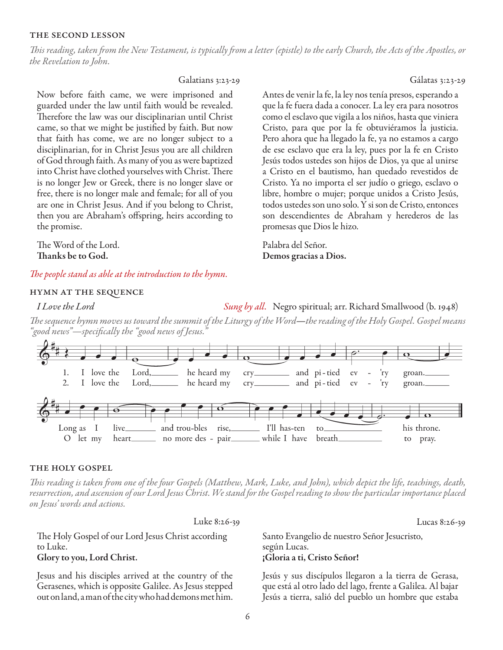#### the second lesson

*This reading, taken from the New Testament, is typically from a letter (epistle) to the early Church, the Acts of the Apostles, or the Revelation to John.*

#### Galatians 3:23-29

Now before faith came, we were imprisoned and guarded under the law until faith would be revealed. Therefore the law was our disciplinarian until Christ came, so that we might be justified by faith. But now that faith has come, we are no longer subject to a disciplinarian, for in Christ Jesus you are all children of God through faith. As many of you as were baptized into Christ have clothed yourselves with Christ. There is no longer Jew or Greek, there is no longer slave or free, there is no longer male and female; for all of you are one in Christ Jesus. And if you belong to Christ, then you are Abraham's offspring, heirs according to the promise.

The Word of the Lord. Thanks be to God.

*The people stand as able at the introduction to the hymn.*

#### hymn at the sequence

*I Love the Lord Sung by all.* Negro spiritual; arr. Richard Smallwood (b. 1948)

*The sequence hymn moves us toward the summit of the Liturgy of the Word*—*the reading of the Holy Gospel. Gospel means "good news"—specifically the "good news of Jesus."*



#### the holy gospel

*This reading is taken from one of the four Gospels (Matthew, Mark, Luke, and John), which depict the life, teachings, death, resurrection, and ascension of our Lord Jesus Christ. We stand for the Gospel reading to show the particular importance placed on Jesus' words and actions.*

Luke 8:26-39

Lucas 8:26-39

The Holy Gospel of our Lord Jesus Christ according to Luke. Glory to you, Lord Christ.

Jesus and his disciples arrived at the country of the Gerasenes, which is opposite Galilee. As Jesus stepped out on land, a man of the city who had demons met him.

Santo Evangelio de nuestro Señor Jesucristo, según Lucas. ¡Gloria a ti, Cristo Señor!

Jesús y sus discípulos llegaron a la tierra de Gerasa, que está al otro lado del lago, frente a Galilea. Al bajar Jesús a tierra, salió del pueblo un hombre que estaba

Gálatas 3:23-29

Antes de venir la fe, la ley nos tenía presos, esperando a que la fe fuera dada a conocer. La ley era para nosotros como el esclavo que vigila a los niños, hasta que viniera Cristo, para que por la fe obtuviéramos la justicia. Pero ahora que ha llegado la fe, ya no estamos a cargo de ese esclavo que era la ley, pues por la fe en Cristo Jesús todos ustedes son hijos de Dios, ya que al unirse a Cristo en el bautismo, han quedado revestidos de Cristo. Ya no importa el ser judío o griego, esclavo o libre, hombre o mujer; porque unidos a Cristo Jesús, todos ustedes son uno solo. Y si son de Cristo, entonces son descendientes de Abraham y herederos de las promesas que Dios le hizo.

Palabra del Señor. Demos gracias a Dios.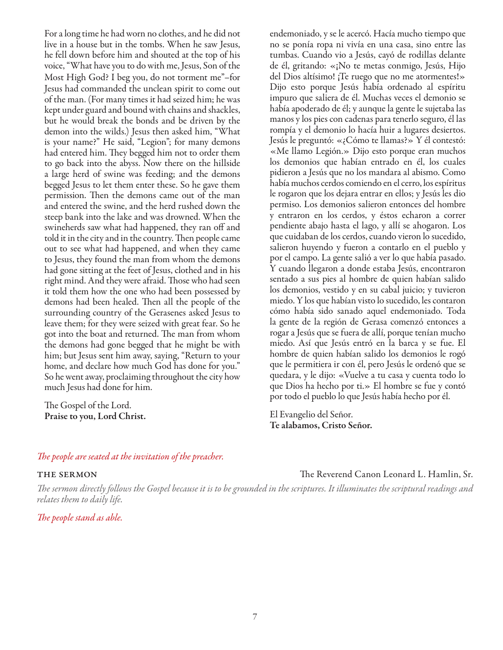Most High God? I beg you, do not torment me"–for Jesus had commanded the unclean spirit to come out of the man. (For many times it had seized him; he was kept under guard and bound with chains and shackles, but he would break the bonds and be driven by the demon into the wilds.) Jesus then asked him, "What is your name?" He said, "Legion"; for many demons had entered him. They begged him not to order them to go back into the abyss. Now there on the hillside a large herd of swine was feeding; and the demons begged Jesus to let them enter these. So he gave them permission. Then the demons came out of the man and entered the swine, and the herd rushed down the steep bank into the lake and was drowned. When the swineherds saw what had happened, they ran off and told it in the city and in the country. Then people came out to see what had happened, and when they came to Jesus, they found the man from whom the demons had gone sitting at the feet of Jesus, clothed and in his right mind. And they were afraid. Those who had seen it told them how the one who had been possessed by demons had been healed. Then all the people of the surrounding country of the Gerasenes asked Jesus to leave them; for they were seized with great fear. So he got into the boat and returned. The man from whom the demons had gone begged that he might be with him; but Jesus sent him away, saying, "Return to your home, and declare how much God has done for you." So he went away, proclaiming throughout the city how much Jesus had done for him. The Gospel of the Lord. Praise to you, Lord Christ. *The people are seated at the invitation of the preacher.*

For a long time he had worn no clothes, and he did not live in a house but in the tombs. When he saw Jesus, he fell down before him and shouted at the top of his voice, "What have you to do with me, Jesus, Son of the

tumbas. Cuando vio a Jesús, cayó de rodillas delante de él, gritando: «¡No te metas conmigo, Jesús, Hijo del Dios altísimo! ¡Te ruego que no me atormentes!» Dijo esto porque Jesús había ordenado al espíritu impuro que saliera de él. Muchas veces el demonio se había apoderado de él; y aunque la gente le sujetaba las manos y los pies con cadenas para tenerlo seguro, él las rompía y el demonio lo hacía huir a lugares desiertos. Jesús le preguntó: «¿Cómo te llamas?» Y él contestó: «Me llamo Legión.» Dijo esto porque eran muchos los demonios que habían entrado en él, los cuales pidieron a Jesús que no los mandara al abismo. Como había muchos cerdos comiendo en el cerro, los espíritus le rogaron que los dejara entrar en ellos; y Jesús les dio permiso. Los demonios salieron entonces del hombre y entraron en los cerdos, y éstos echaron a correr pendiente abajo hasta el lago, y allí se ahogaron. Los que cuidaban de los cerdos, cuando vieron lo sucedido, salieron huyendo y fueron a contarlo en el pueblo y por el campo. La gente salió a ver lo que había pasado. Y cuando llegaron a donde estaba Jesús, encontraron sentado a sus pies al hombre de quien habían salido los demonios, vestido y en su cabal juicio; y tuvieron miedo. Y los que habían visto lo sucedido, les contaron cómo había sido sanado aquel endemoniado. Toda la gente de la región de Gerasa comenzó entonces a rogar a Jesús que se fuera de allí, porque tenían mucho miedo. Así que Jesús entró en la barca y se fue. El hombre de quien habían salido los demonios le rogó que le permitiera ir con él, pero Jesús le ordenó que se quedara, y le dijo: «Vuelve a tu casa y cuenta todo lo que Dios ha hecho por ti.» El hombre se fue y contó por todo el pueblo lo que Jesús había hecho por él.

endemoniado, y se le acercó. Hacía mucho tiempo que no se ponía ropa ni vivía en una casa, sino entre las

El Evangelio del Señor. Te alabamos, Cristo Señor.

THE SERMON GERMON CHARGE SERMON THE Reverend Canon Leonard L. Hamlin, Sr.

*The sermon directly follows the Gospel because it is to be grounded in the scriptures. It illuminates the scriptural readings and relates them to daily life.*

### *The people stand as able.*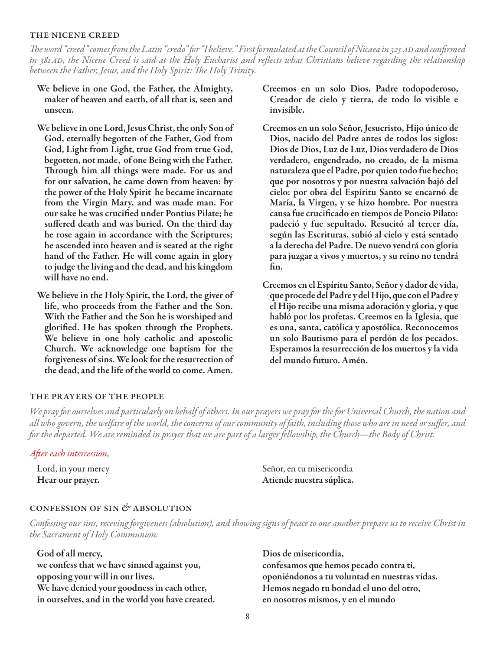#### the nicene creed

The word "creed" comes from the Latin "credo" for "I believe." First formulated at the Council of Nicaea in 325 AD and confirmed *in 381ad, the Nicene Creed is said at the Holy Eucharist and reflects what Christians believe regarding the relationship between the Father, Jesus, and the Holy Spirit: The Holy Trinity.*

- We believe in one God, the Father, the Almighty, maker of heaven and earth, of all that is, seen and unseen.
- We believe in one Lord, Jesus Christ, the only Son of God, eternally begotten of the Father, God from God, Light from Light, true God from true God, begotten, not made, of one Being with the Father. Through him all things were made. For us and for our salvation, he came down from heaven: by the power of the Holy Spirit he became incarnate from the Virgin Mary, and was made man. For our sake he was crucified under Pontius Pilate; he suffered death and was buried. On the third day he rose again in accordance with the Scriptures; he ascended into heaven and is seated at the right hand of the Father. He will come again in glory to judge the living and the dead, and his kingdom will have no end.
- We believe in the Holy Spirit, the Lord, the giver of life, who proceeds from the Father and the Son. With the Father and the Son he is worshiped and glorified. He has spoken through the Prophets. We believe in one holy catholic and apostolic Church. We acknowledge one baptism for the forgiveness of sins. We look for the resurrection of the dead, and the life of the world to come. Amen.
- Creemos en un solo Dios, Padre todopoderoso, Creador de cielo y tierra, de todo lo visible e invisible.
- Creemos en un solo Señor, Jesucristo, Hijo único de Dios, nacido del Padre antes de todos los siglos: Dios de Dios, Luz de Luz, Dios verdadero de Dios verdadero, engendrado, no creado, de la misma naturaleza que el Padre, por quien todo fue hecho; que por nosotros y por nuestra salvación bajó del cielo: por obra del Espíritu Santo se encarnó de María, la Virgen, y se hizo hombre. Por nuestra causa fue crucificado en tiempos de Poncio Pilato: padeció y fue sepultado. Resucitó al tercer día, según las Escrituras, subió al cielo y está sentado a la derecha del Padre. De nuevo vendrá con gloria para juzgar a vivos y muertos, y su reino no tendrá fin.
- Creemos en el Espíritu Santo, Señor y dador de vida, que procede del Padre y del Hijo, que con el Padre y el Hijo recibe una misma adoración y gloria, y que habló por los profetas. Creemos en la Iglesia, que es una, santa, católica y apostólica. Reconocemos un solo Bautismo para el perdón de los pecados. Esperamos la resurrección de los muertos y la vida del mundo futuro. Amén.

#### the prayers of the people

*We pray for ourselves and particularly on behalf of others. In our prayers we pray for the for Universal Church, the nation and all who govern, the welfare of the world, the concerns of our community of faith, including those who are in need or suffer, and for the departed. We are reminded in prayer that we are part of a larger fellowship, the Church—the Body of Christ.*

#### *After each intercession,*

Lord, in your mercy Hear our prayer.

Señor, en tu misericordia Atiende nuestra súplica.

### confession of sin *&* absolution

*Confessing our sins, receving forgiveness (absolution), and showing signs of peace to one another prepare us to receive Christ in the Sacrament of Holy Communion.*

God of all mercy, we confess that we have sinned against you, opposing your will in our lives. We have denied your goodness in each other, in ourselves, and in the world you have created.

Dios de misericordia, confesamos que hemos pecado contra ti, oponiéndonos a tu voluntad en nuestras vidas. Hemos negado tu bondad el uno del otro, en nosotros mismos, y en el mundo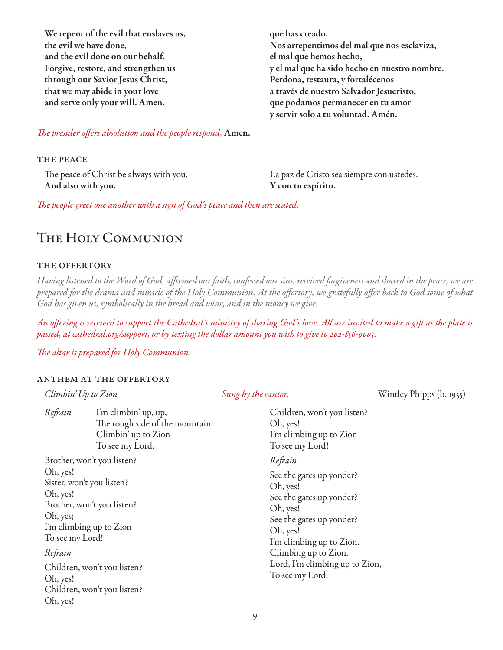| We repent of the evil that enslaves us, | que has creado.                               |
|-----------------------------------------|-----------------------------------------------|
| the evil we have done,                  | Nos arrepentimos del mal que nos esclaviza,   |
| and the evil done on our behalf.        | el mal que hemos hecho,                       |
| Forgive, restore, and strengthen us     | y el mal que ha sido hecho en nuestro nombre. |
| through our Savior Jesus Christ,        | Perdona, restaura, y fortalécenos             |
| that we may abide in your love          | a través de nuestro Salvador Jesucristo,      |
| and serve only your will. Amen.         | que podamos permanecer en tu amor             |
|                                         | y servir solo a tu voluntad. Amén.            |
|                                         |                                               |

*The presider offers absolution and the people respond,* Amen.

THE PEACE The peace of Christ be always with you. And also with you.

La paz de Cristo sea siempre con ustedes. Y con tu espíritu.

*The people greet one another with a sign of God's peace and then are seated.*

# The Holy Communion

## THE OFFERTORY

*Having listened to the Word of God, affirmed our faith, confessed our sins, received forgiveness and shared in the peace, we are prepared for the drama and miracle of the Holy Communion. At the offertory, we gratefully offer back to God some of what God has given us, symbolically in the bread and wine, and in the money we give.* 

*An offering is received to support the Cathedral's ministry of sharing God's love. All are invited to make a gift as the plate is passed, at cathedral.org/support, or by texting the dollar amount you wish to give to 202-856-9005.*

*The altar is prepared for Holy Communion.*

#### anthem at the offertory

*Refrain* I'm climbin' up, up, The rough side of the mountain. Climbin' up to Zion To see my Lord.

Brother, won't you listen? Oh, yes! Sister, won't you listen? Oh, yes! Brother, won't you listen? Oh, yes; I'm climbing up to Zion To see my Lord!

#### *Refrain*

Children, won't you listen? Oh, yes! Children, won't you listen? Oh, yes!

*Climbin' Up to Zion Sung by the cantor.* Wintley Phipps (b. 1955)

Children, won't you listen? Oh, yes! I'm climbing up to Zion To see my Lord! *Refrain* See the gates up yonder? Oh, yes! See the gates up yonder? Oh, yes! See the gates up yonder? Oh, yes! I'm climbing up to Zion. Climbing up to Zion. Lord, I'm climbing up to Zion, To see my Lord.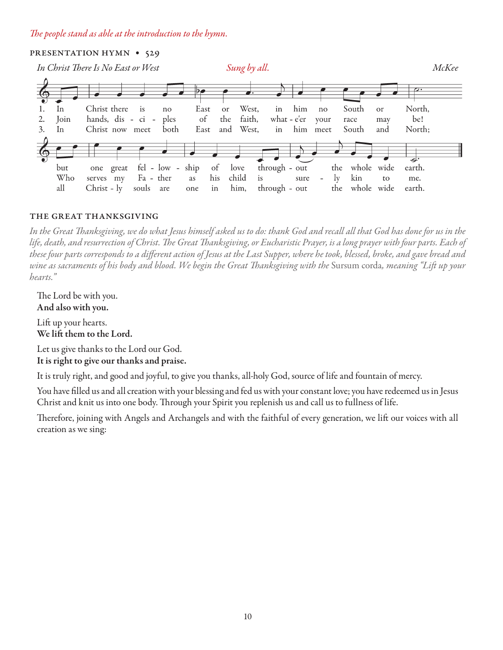## *The people stand as able at the introduction to the hymn.*

### PRESENTATION HYMN • 529



### the great thanksgiving

*In the Great Thanksgiving, we do what Jesus himself asked us to do: thank God and recall all that God has done for us in the life, death, and resurrection of Christ. The Great Thanksgiving, or Eucharistic Prayer, is a long prayer with four parts. Each of these four parts corresponds to a different action of Jesus at the Last Supper, where he took, blessed, broke, and gave bread and wine as sacraments of his body and blood. We begin the Great Thanksgiving with the* Sursum corda*, meaning "Lift up your hearts."* 

The Lord be with you. And also with you.

Lift up your hearts. We lift them to the Lord.

Let us give thanks to the Lord our God. It is right to give our thanks and praise.

It is truly right, and good and joyful, to give you thanks, all-holy God, source of life and fountain of mercy.

You have filled us and all creation with your blessing and fed us with your constant love; you have redeemed us in Jesus Christ and knit us into one body. Through your Spirit you replenish us and call us to fullness of life.

Therefore, joining with Angels and Archangels and with the faithful of every generation, we lift our voices with all creation as we sing: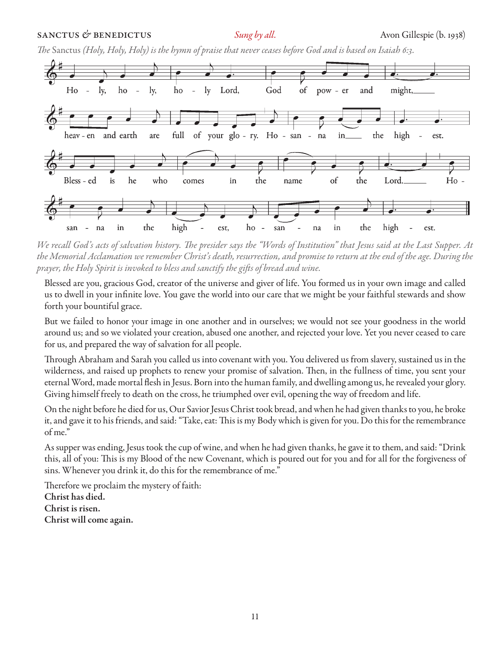#### SANCTUS & BENEDICTUS *Sung by all.* Avon Gillespie (b. 1938)

*The* Sanctus *(Holy, Holy, Holy) is the hymn of praise that never ceases before God and is based on Isaiah 6:3.*



*We recall God's acts of salvation history. The presider says the "Words of Institution" that Jesus said at the Last Supper. At the Memorial Acclamation we remember Christ's death, resurrection, and promise to return at the end of the age. During the prayer, the Holy Spirit is invoked to bless and sanctify the gifts of bread and wine.*

Blessed are you, gracious God, creator of the universe and giver of life. You formed us in your own image and called us to dwell in your infinite love. You gave the world into our care that we might be your faithful stewards and show forth your bountiful grace.

But we failed to honor your image in one another and in ourselves; we would not see your goodness in the world around us; and so we violated your creation, abused one another, and rejected your love. Yet you never ceased to care for us, and prepared the way of salvation for all people.

Through Abraham and Sarah you called us into covenant with you. You delivered us from slavery, sustained us in the wilderness, and raised up prophets to renew your promise of salvation. Then, in the fullness of time, you sent your eternal Word, made mortal flesh in Jesus. Born into the human family, and dwelling among us, he revealed your glory. Giving himself freely to death on the cross, he triumphed over evil, opening the way of freedom and life.

On the night before he died for us, Our Savior Jesus Christ took bread, and when he had given thanks to you, he broke it, and gave it to his friends, and said: "Take, eat: This is my Body which is given for you. Do this for the remembrance of me."

As supper was ending, Jesus took the cup of wine, and when he had given thanks, he gave it to them, and said: "Drink this, all of you: This is my Blood of the new Covenant, which is poured out for you and for all for the forgiveness of sins. Whenever you drink it, do this for the remembrance of me."

Therefore we proclaim the mystery of faith: Christ has died. Christ is risen. Christ will come again.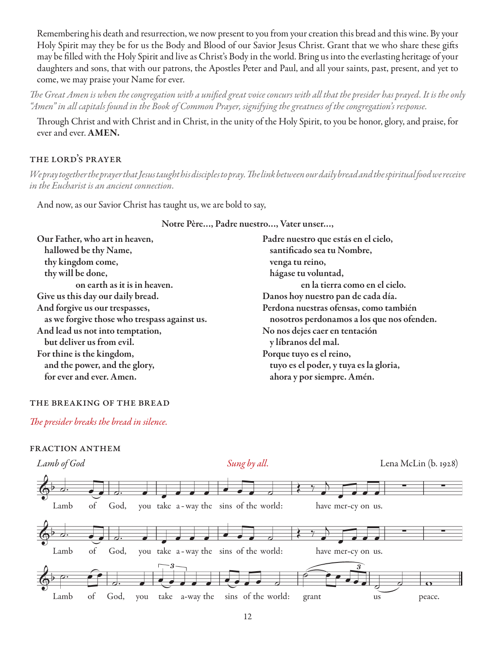Remembering his death and resurrection, we now present to you from your creation this bread and this wine. By your Holy Spirit may they be for us the Body and Blood of our Savior Jesus Christ. Grant that we who share these gifts may be filled with the Holy Spirit and live as Christ's Body in the world. Bring us into the everlasting heritage of your daughters and sons, that with our patrons, the Apostles Peter and Paul, and all your saints, past, present, and yet to come, we may praise your Name for ever.

*The Great Amen is when the congregation with a unified great voice concurs with all that the presider has prayed. It is the only "Amen" in all capitals found in the Book of Common Prayer, signifying the greatness of the congregation's response.*

Through Christ and with Christ and in Christ, in the unity of the Holy Spirit, to you be honor, glory, and praise, for ever and ever. AMEN.

### the lord's prayer

*We pray together the prayer that Jesus taught his disciples to pray. The link between our daily bread and the spiritual food we receive in the Eucharist is an ancient connection.*

And now, as our Savior Christ has taught us, we are bold to say,

Notre Père…, Padre nuestro…, Vater unser…,

| Our Father, who art in heaven,               |  |
|----------------------------------------------|--|
| hallowed be thy Name,                        |  |
| thy kingdom come,                            |  |
| thy will be done,                            |  |
| on earth as it is in heaven.                 |  |
| Give us this day our daily bread.            |  |
| And forgive us our trespasses,               |  |
| as we forgive those who trespass against us. |  |
| And lead us not into temptation,             |  |
| but deliver us from evil.                    |  |
| For thine is the kingdom,                    |  |
| and the power, and the glory,                |  |
| for ever and ever. Amen.                     |  |

Padre nuestro que estás en el cielo, santificado sea tu Nombre, venga tu reino, hágase tu voluntad, en la tierra como en el cielo. Danos hoy nuestro pan de cada día. Perdona nuestras ofensas, como también nosotros perdonamos a los que nos ofenden. No nos dejes caer en tentación y líbranos del mal. Porque tuyo es el reino, tuyo es el poder, y tuya es la gloria, ahora y por siempre. Amén.

#### the breaking of the bread

### *The presider breaks the bread in silence.*

#### fraction anthem

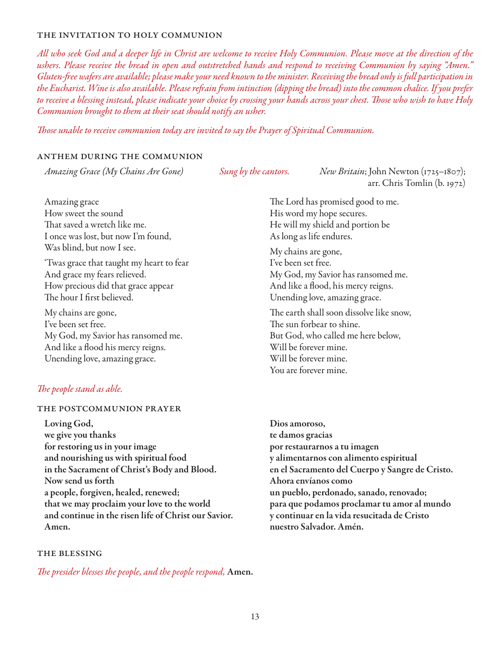#### the invitation to holy communion

*All who seek God and a deeper life in Christ are welcome to receive Holy Communion. Please move at the direction of the ushers. Please receive the bread in open and outstretched hands and respond to receiving Communion by saying "Amen." Gluten-free wafers are available; please make your need known to the minister. Receiving the bread only is full participation in the Eucharist. Wine is also available. Please refrain from intinction (dipping the bread) into the common chalice. If you prefer to receive a blessing instead, please indicate your choice by crossing your hands across your chest. Those who wish to have Holy Communion brought to them at their seat should notify an usher.*

*Those unable to receive communion today are invited to say the Prayer of Spiritual Communion.*

#### anthem during the communion

*Amazing Grace (My Chains Are Gone) Sung by the cantors. New Britain*; John Newton (1725–1807);

arr. Chris Tomlin (b. 1972)

Amazing grace How sweet the sound That saved a wretch like me. I once was lost, but now I'm found, Was blind, but now I see.

'Twas grace that taught my heart to fear And grace my fears relieved. How precious did that grace appear The hour I first believed.

My chains are gone, I've been set free. My God, my Savior has ransomed me. And like a flood his mercy reigns. Unending love, amazing grace.

### *The people stand as able.*

#### the postcommunion prayer

Loving God, we give you thanks for restoring us in your image and nourishing us with spiritual food in the Sacrament of Christ's Body and Blood. Now send us forth a people, forgiven, healed, renewed; that we may proclaim your love to the world and continue in the risen life of Christ our Savior. Amen.

#### the blessing

*The presider blesses the people, and the people respond,* Amen.

The Lord has promised good to me. His word my hope secures. He will my shield and portion be As long as life endures.

My chains are gone, I've been set free. My God, my Savior has ransomed me. And like a flood, his mercy reigns. Unending love, amazing grace.

The earth shall soon dissolve like snow, The sun forbear to shine. But God, who called me here below, Will be forever mine. Will be forever mine. You are forever mine.

Dios amoroso, te damos gracias por restaurarnos a tu imagen y alimentarnos con alimento espiritual en el Sacramento del Cuerpo y Sangre de Cristo. Ahora envíanos como un pueblo, perdonado, sanado, renovado; para que podamos proclamar tu amor al mundo y continuar en la vida resucitada de Cristo nuestro Salvador. Amén.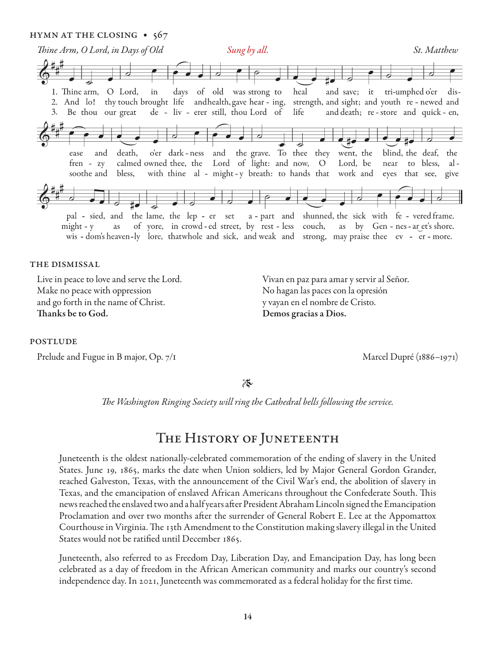#### HYMN AT THE CLOSING  $\cdot$  567



#### the dismissal

Live in peace to love and serve the Lord. Make no peace with oppression and go forth in the name of Christ. Thanks be to God.

Vivan en paz para amar y servir al Señor. No hagan las paces con la opresión y vayan en el nombre de Cristo. Demos gracias a Dios.

#### **POSTLUDE**

Prelude and Fugue in B major, Op. 7/I Marcel Dupré (1886–1971)

 $\partial \xi$ 

*The Washington Ringing Society will ring the Cathedral bells following the service.*

# THE HISTORY OF JUNETEENTH

Juneteenth is the oldest nationally-celebrated commemoration of the ending of slavery in the United States. June 19, 1865, marks the date when Union soldiers, led by Major General Gordon Grander, reached Galveston, Texas, with the announcement of the Civil War's end, the abolition of slavery in Texas, and the emancipation of enslaved African Americans throughout the Confederate South. This news reached the enslaved two and a half years after President Abraham Lincoln signed the Emancipation Proclamation and over two months after the surrender of General Robert E. Lee at the Appomattox Courthouse in Virginia. The 13th Amendment to the Constitution making slavery illegal in the United States would not be ratified until December 1865.

Juneteenth, also referred to as Freedom Day, Liberation Day, and Emancipation Day, has long been celebrated as a day of freedom in the African American community and marks our country's second independence day. In 2021, Juneteenth was commemorated as a federal holiday for the first time.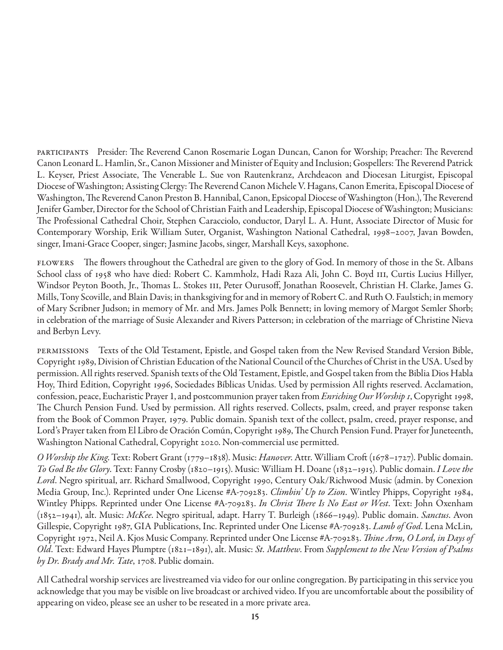participants Presider: The Reverend Canon Rosemarie Logan Duncan, Canon for Worship; Preacher: The Reverend Canon Leonard L. Hamlin, Sr., Canon Missioner and Minister of Equity and Inclusion; Gospellers: The Reverend Patrick L. Keyser, Priest Associate, The Venerable L. Sue von Rautenkranz, Archdeacon and Diocesan Liturgist, Episcopal Diocese of Washington; Assisting Clergy: The Reverend Canon Michele V. Hagans, Canon Emerita, Episcopal Diocese of Washington, The Reverend Canon Preston B. Hannibal, Canon, Epsicopal Diocese of Washington (Hon.), The Reverend Jenifer Gamber, Director for the School of Christian Faith and Leadership, Episcopal Diocese of Washington; Musicians: The Professional Cathedral Choir, Stephen Caracciolo, conductor, Daryl L. A. Hunt, Associate Director of Music for Contemporary Worship, Erik William Suter, Organist, Washington National Cathedral, 1998–2007, Javan Bowden, singer, Imani-Grace Cooper, singer; Jasmine Jacobs, singer, Marshall Keys, saxophone.

flowers The flowers throughout the Cathedral are given to the glory of God. In memory of those in the St. Albans School class of 1958 who have died: Robert C. Kammholz, Hadi Raza Ali, John C. Boyd III, Curtis Lucius Hillyer, Windsor Peyton Booth, Jr., Thomas L. Stokes III, Peter Ourusoff, Jonathan Roosevelt, Christian H. Clarke, James G. Mills, Tony Scoville, and Blain Davis; in thanksgiving for and in memory of Robert C. and Ruth O. Faulstich; in memory of Mary Scribner Judson; in memory of Mr. and Mrs. James Polk Bennett; in loving memory of Margot Semler Shorb; in celebration of the marriage of Susie Alexander and Rivers Patterson; in celebration of the marriage of Christine Nieva and Berbyn Levy.

permissions Texts of the Old Testament, Epistle, and Gospel taken from the New Revised Standard Version Bible, Copyright 1989, Division of Christian Education of the National Council of the Churches of Christ in the USA. Used by permission. All rights reserved. Spanish texts of the Old Testament, Epistle, and Gospel taken from the Biblia Dios Habla Hoy, Third Edition, Copyright 1996, Sociedades Bíblicas Unidas. Used by permission All rights reserved. Acclamation, confession, peace, Eucharistic Prayer 1, and postcommunion prayer taken from *Enriching Our Worship 1*, Copyright 1998, The Church Pension Fund. Used by permission. All rights reserved. Collects, psalm, creed, and prayer response taken from the Book of Common Prayer, 1979. Public domain. Spanish text of the collect, psalm, creed, prayer response, and Lord's Prayer taken from El Libro de Oración Común, Copyright 1989, The Church Pension Fund. Prayer for Juneteenth, Washington National Cathedral, Copyright 2020. Non-commercial use permitted.

*O Worship the King*. Text: Robert Grant (1779–1838). Music: *Hanover*. Attr. William Croft (1678–1727). Public domain. *To God Be the Glory*. Text: Fanny Crosby (1820–1915). Music: William H. Doane (1832–1915). Public domain. *I Love the Lord*. Negro spiritual, arr. Richard Smallwood, Copyright 1990, Century Oak/Richwood Music (admin. by Conexion Media Group, Inc.). Reprinted under One License #A-709283. *Climbin' Up to Zion*. Wintley Phipps, Copyright 1984, Wintley Phipps. Reprinted under One License #A-709283. *In Christ There Is No East or West*. Text: John Oxenham (1852–1941), alt. Music: *McKee*. Negro spiritual, adapt. Harry T. Burleigh (1866–1949). Public domain. *Sanctus*. Avon Gillespie, Copyright 1987, GIA Publications, Inc. Reprinted under One License #A-709283. *Lamb of God*. Lena McLin*,*  Copyright 1972, Neil A. Kjos Music Company. Reprinted under One License #A-709283. *Thine Arm, O Lord, in Days of Old*. Text: Edward Hayes Plumptre (1821–1891), alt. Music: *St. Matthew*. From *Supplement to the New Version of Psalms by Dr. Brady and Mr. Tate*, 1708. Public domain.

All Cathedral worship services are livestreamed via video for our online congregation. By participating in this service you acknowledge that you may be visible on live broadcast or archived video. If you are uncomfortable about the possibility of appearing on video, please see an usher to be reseated in a more private area.